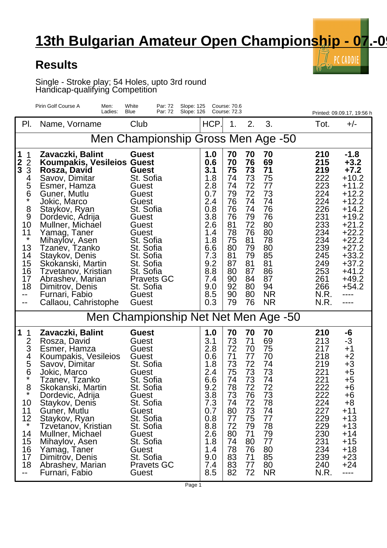## **13th Bulgarian Amateur Open Championship - 07.-0**

 $\bar{\mathbb{I}}$  PC CADDIE

 $\mathbf{r}(\cdot)$ 

## **Results**

Single - Stroke play; 54 Holes, upto 3rd round Handicap-qualifying Competition

|                                                                                                                                                                   | Pirin Golf Course A<br>Men:<br>Ladies:                                                                                                                                                                                                                                                                                                                                                       | White<br>Par: 72<br>Slope: 125<br>Blue<br>Par: 72<br>Slope: 126                                                                                                                                                                   |                                                                                                                                          | Course: 70.6<br><b>Course: 72.3</b>                                                                                  |                                                                                                                      |                                                                                                                                    |                                                                                                                                            | Printed: 09.09.17, 19:56 h                                                                                                                                                                                      |  |  |  |
|-------------------------------------------------------------------------------------------------------------------------------------------------------------------|----------------------------------------------------------------------------------------------------------------------------------------------------------------------------------------------------------------------------------------------------------------------------------------------------------------------------------------------------------------------------------------------|-----------------------------------------------------------------------------------------------------------------------------------------------------------------------------------------------------------------------------------|------------------------------------------------------------------------------------------------------------------------------------------|----------------------------------------------------------------------------------------------------------------------|----------------------------------------------------------------------------------------------------------------------|------------------------------------------------------------------------------------------------------------------------------------|--------------------------------------------------------------------------------------------------------------------------------------------|-----------------------------------------------------------------------------------------------------------------------------------------------------------------------------------------------------------------|--|--|--|
| PI.                                                                                                                                                               | Name, Vorname                                                                                                                                                                                                                                                                                                                                                                                | Club                                                                                                                                                                                                                              | HCP.                                                                                                                                     | 1.                                                                                                                   | 2.                                                                                                                   | 3.                                                                                                                                 | Tot.                                                                                                                                       | $+/-$                                                                                                                                                                                                           |  |  |  |
| Men Championship Gross Men Age -50                                                                                                                                |                                                                                                                                                                                                                                                                                                                                                                                              |                                                                                                                                                                                                                                   |                                                                                                                                          |                                                                                                                      |                                                                                                                      |                                                                                                                                    |                                                                                                                                            |                                                                                                                                                                                                                 |  |  |  |
| 1<br>1<br>$\frac{2}{3}$<br>$\overline{2}$<br>3<br>4<br>5<br>6<br>$\star$<br>8<br>9<br>10<br>11<br>$\star$<br>13<br>14<br>15<br>16<br>17<br>18<br>--<br>$\sim$ $-$ | Zavaczki, Balint<br>Koumpakis, Vesileios Guest<br>Rosza, David<br>Savov, Dimitar<br>Esmer, Hamza<br>Guner, Mutlu<br>Jokic, Marco<br>Staykov, Ryan<br>Dordevic, Adrija<br>Mullner, Michael<br>Yamag, Taner<br>Mihaylov, Asen<br>Tzanev, Tzanko<br>Staykov, Denis<br>Skokanski, Martin<br>Tzvetanov, Kristian<br>Abrashev, Marian<br>Dimitrov, Denis<br>Furnari, Fabio<br>Callaou, Cahristophe | <b>Guest</b><br><b>Guest</b><br>St. Sofia<br>Guest<br>Guest<br>Guest<br>St. Sofia<br>Guest<br>Guest<br>Guest<br>St. Sofia<br>St. Sofia<br>St. Sofia<br>St. Sofia<br>St. Sofia<br><b>Pravets GC</b><br>St. Sofia<br>Guest<br>Guest | 1.0<br>0.6<br>3.1<br>1.8<br>2.8<br>0.7<br>2.4<br>0.8<br>3.8<br>2.6<br>1.4<br>1.8<br>6.6<br>7.3<br>9.2<br>8.8<br>7.4<br>9.0<br>8.5<br>0.3 | 70<br>70<br>75<br>74<br>74<br>79<br>76<br>76<br>76<br>81<br>78<br>75<br>80<br>81<br>87<br>80<br>90<br>92<br>90<br>79 | 70<br>76<br>73<br>73<br>72<br>72<br>74<br>74<br>79<br>72<br>76<br>81<br>79<br>79<br>81<br>87<br>84<br>80<br>80<br>76 | 70<br>69<br>71<br>75<br>77<br>73<br>74<br>76<br>76<br>80<br>80<br>78<br>80<br>85<br>81<br>86<br>87<br>94<br><b>NR</b><br><b>NR</b> | 210<br>215<br>219<br>222<br>223<br>224<br>224<br>226<br>231<br>233<br>234<br>234<br>239<br>245<br>249<br>253<br>261<br>266<br>N.R.<br>N.R. | $-1.8$<br>$+3.2$<br>$+7.2$<br>$+10.2$<br>$+11.2$<br>$+12.2$<br>$+12.2$<br>$+14.2$<br>$+19.2$<br>$+21.2$<br>$+22.2$<br>$+22.2$<br>$+27.2$<br>$+33.2$<br>$+37.2$<br>$+41.2$<br>$+49.2$<br>$+54.2$<br>----<br>---- |  |  |  |
| Men Championship Net Net Men Age -50                                                                                                                              |                                                                                                                                                                                                                                                                                                                                                                                              |                                                                                                                                                                                                                                   |                                                                                                                                          |                                                                                                                      |                                                                                                                      |                                                                                                                                    |                                                                                                                                            |                                                                                                                                                                                                                 |  |  |  |
| 1<br>1<br>2<br>3<br>4<br>5<br>6<br>*<br>8<br>10<br>11<br>12<br>$^\star$<br>14<br>15<br>16<br>17<br>18<br>--                                                       | Zavaczki, Balint<br>Rosza, David<br>Esmer, Hamza<br>Koumpakis, Vesileios<br>Savov, Dimitar<br>Jokic, Marco<br>Tzanev, Tzanko<br>Skokanski, Martin<br>Dordevic, Adrija<br>Staykov, Denis<br>Guner, Mutlu<br>Staykov, Ryan<br>Tzvetanov, Kristian<br>Mullner, Michael<br>Mihaylov, Asen<br>Yamag, Taner<br>Dimitrov, Denis<br>Abrashev, Marian<br>Furnari, Fabio                               | <b>Guest</b><br>Guest<br>Guest<br>Guest<br>St. Sofia<br>Guest<br>St. Sofia<br>St. Sofia<br>Guest<br>St. Sofia<br>Guest<br>St. Sofia<br>St. Sofia<br>Guest<br>St. Sofia<br>Guest<br>St. Sofia<br><b>Pravets GC</b><br>Guest        | 1.0<br>3.1<br>2.8<br>0.6<br>1.8<br>2.4<br>6.6<br>9.2<br>3.8<br>7.3<br>0.7<br>0.8<br>8.8<br>2.6<br>1.8<br>1.4<br>9.0<br>7.4<br>8.5        | 70<br>73<br>72<br>71<br>73<br>75<br>74<br>78<br>73<br>74<br>80<br>77<br>72<br>80<br>74<br>78<br>83<br>83<br>82       | 70<br>71<br>70<br>77<br>72<br>73<br>73<br>72<br>76<br>72<br>73<br>75<br>79<br>71<br>80<br>76<br>71<br>77<br>72       | 70<br>69<br>75<br>70<br>74<br>73<br>74<br>72<br>73<br>78<br>74<br>77<br>78<br>79<br>77<br>80<br>85<br>80<br><b>NR</b>              | 210<br>213<br>217<br>218<br>219<br>221<br>221<br>222<br>222<br>224<br>227<br>229<br>229<br>230<br>231<br>234<br>239<br>240<br>N.R.         | -6<br>-3<br>$^{+1}$<br>$+2$<br>$+3$<br>$+5$<br>$+5$<br>$+6$<br>+6<br>$+8$<br>$+11$<br>$+13$<br>$+13$<br>$+14$<br>$+15$<br>$+18$<br>$+23$<br>$+24$<br>----                                                       |  |  |  |